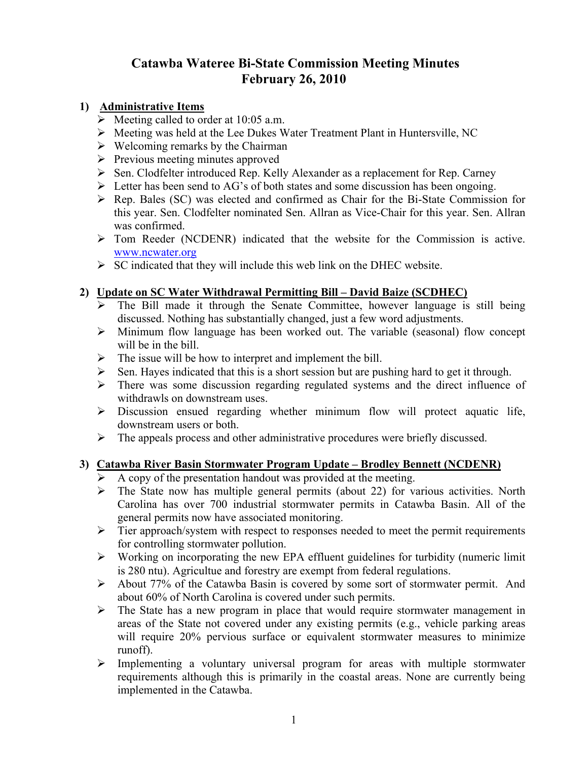# **Catawba Wateree Bi-State Commission Meeting Minutes February 26, 2010**

### **1) Administrative Items**

- $\triangleright$  Meeting called to order at 10:05 a.m.
- ¾ Meeting was held at the Lee Dukes Water Treatment Plant in Huntersville, NC
- $\triangleright$  Welcoming remarks by the Chairman
- $\triangleright$  Previous meeting minutes approved
- ¾ Sen. Clodfelter introduced Rep. Kelly Alexander as a replacement for Rep. Carney
- $\triangleright$  Letter has been send to AG's of both states and some discussion has been ongoing.
- $\triangleright$  Rep. Bales (SC) was elected and confirmed as Chair for the Bi-State Commission for this year. Sen. Clodfelter nominated Sen. Allran as Vice-Chair for this year. Sen. Allran was confirmed.
- $\triangleright$  Tom Reeder (NCDENR) indicated that the website for the Commission is active. www.ncwater.org
- $\triangleright$  SC indicated that they will include this web link on the DHEC website.

# **2) Update on SC Water Withdrawal Permitting Bill – David Baize (SCDHEC)**

- $\triangleright$  The Bill made it through the Senate Committee, however language is still being discussed. Nothing has substantially changed, just a few word adjustments.
- $\triangleright$  Minimum flow language has been worked out. The variable (seasonal) flow concept will be in the bill.
- $\triangleright$  The issue will be how to interpret and implement the bill.
- $\triangleright$  Sen. Hayes indicated that this is a short session but are pushing hard to get it through.
- ¾ There was some discussion regarding regulated systems and the direct influence of withdrawls on downstream uses.
- $\triangleright$  Discussion ensued regarding whether minimum flow will protect aquatic life, downstream users or both.
- $\triangleright$  The appeals process and other administrative procedures were briefly discussed.

#### **3) Catawba River Basin Stormwater Program Update – Brodley Bennett (NCDENR)**

- ¾ A copy of the presentation handout was provided at the meeting.
- $\triangleright$  The State now has multiple general permits (about 22) for various activities. North Carolina has over 700 industrial stormwater permits in Catawba Basin. All of the general permits now have associated monitoring.
- $\triangleright$  Tier approach/system with respect to responses needed to meet the permit requirements for controlling stormwater pollution.
- $\triangleright$  Working on incorporating the new EPA effluent guidelines for turbidity (numeric limit is 280 ntu). Agricultue and forestry are exempt from federal regulations.
- ¾ About 77% of the Catawba Basin is covered by some sort of stormwater permit. And about 60% of North Carolina is covered under such permits.
- $\triangleright$  The State has a new program in place that would require stormwater management in areas of the State not covered under any existing permits (e.g., vehicle parking areas will require 20% pervious surface or equivalent stormwater measures to minimize runoff).
- $\triangleright$  Implementing a voluntary universal program for areas with multiple stormwater requirements although this is primarily in the coastal areas. None are currently being implemented in the Catawba.